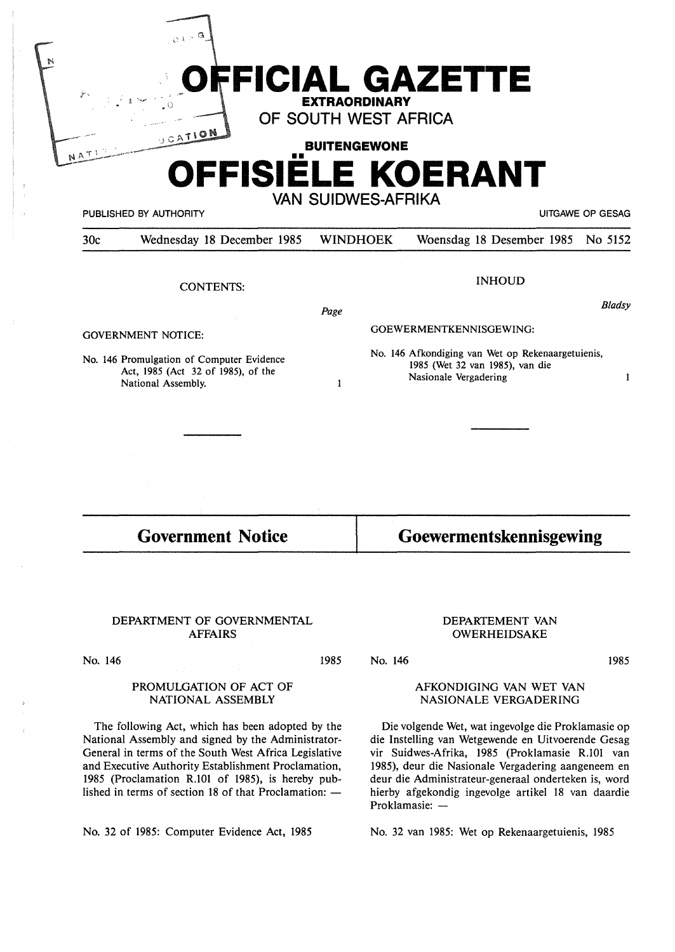| OFFICIAL GAZETTE<br>ý.<br><b>EXTRAORDINARY</b><br>OF SOUTH WEST AFRICA<br><b>UCATION</b><br><b>BUITENGEWONE</b><br>. .<br>OFFISIELE KOERANT |                            |                                                                                      |                                               |               |
|---------------------------------------------------------------------------------------------------------------------------------------------|----------------------------|--------------------------------------------------------------------------------------|-----------------------------------------------|---------------|
|                                                                                                                                             | PUBLISHED BY AUTHORITY     |                                                                                      | VAN SUIDWES-AFRIKA<br><b>UITGAWE OP GESAG</b> |               |
| 30c                                                                                                                                         | Wednesday 18 December 1985 | <b>WINDHOEK</b>                                                                      | Woensdag 18 Desember 1985 No 5152             |               |
|                                                                                                                                             | <b>CONTENTS:</b>           | Page                                                                                 | <b>INHOUD</b>                                 | <b>Bladsy</b> |
|                                                                                                                                             | <b>GOVERNMENT NOTICE:</b>  | GOEWERMENTKENNISGEWING:                                                              |                                               |               |
| No. 146 Promulgation of Computer Evidence<br>$\lambda_{\text{max}}$ 1005 $\lambda_{\text{max}}$ 20 $\lambda$ 1005) $\lambda_{\text{max}}$   |                            | No. 146 Afkondiging van Wet op Rekenaargetuienis,<br>1985 (Wet 32 van 1985), van die |                                               |               |

Act, 1985 (Act 32 of 1985), of the National Assembly.

 $\mathbf{I}$ 

**Government Notice** 

**Goewermentskennisgewing** 

Nasionale Vergadering

## DEPARTMENT OF GOVERNMENTAL AFFAIRS

No. 146

1985

No. 146

# PROMULGATION OF ACT OF NATIONAL ASSEMBLY

The following Act, which has been adopted by the National Assembly and signed by the Administrator-General in terms of the South West Africa Legislative and Executive Authority Establishment Proclamation, 1985 (Proclamation R.101 of 1985), is hereby published in terms of section 18 of that Proclamation:  $-$ 

No. 32 of 1985: Computer Evidence Act, 1985

# DEPARTEMENT VAN OWERHEIDSAKE

1985

 $\mathbf{I}$ 

# AFKONDIGING VAN WET VAN NASIONALE VERGADERING

Die volgende Wet, wat ingevolge die Proklamasie op die lnstelling van Wetgewende en Uitvoerende Gesag vir Suidwes-Afrika, 1985 (Proklamasie R.101 van 1985), deur die Nasionale Vergadering aangeneem en deur die Administrateur-generaal onderteken is, word hierby afgekondig ingevolge artikel 18 van daardie Proklamasie: -

No. 32 van 1985: Wet op Rekenaargetuienis, 1985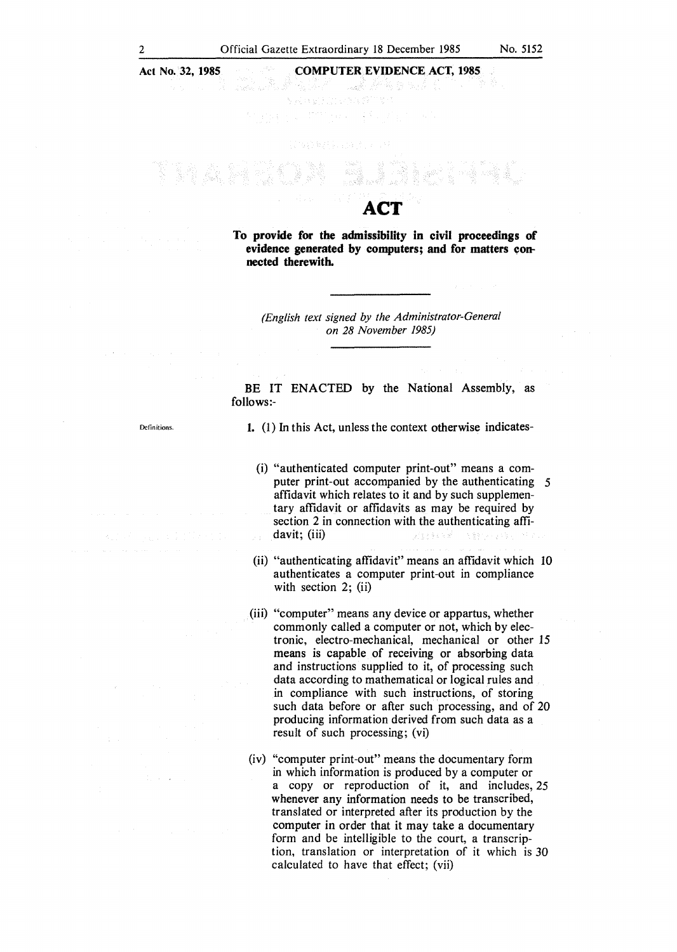## **COMPUTER EVIDENCE ACT, 1985**

u da ke german ku sa Îν, AVEC DE L'ANGELET

**nected therewith.** 

**ACT To provide for the admissibility in civil proceedings of**  evidence generated by computers; and for matters con-

> *(English text signed by the Administrator-General on 28 November 1985)*

BE IT ENACTED by the National Assembly, as follows:-

Dclinitions.

**1.** (1) In this Act, unless the context otherwise indicates-

- (i) "authenticated computer print-out" means a computer print-out accompanied by the authenticating *5*  affidavit which relates to it and by such supplementary affidavit or affidavits as may be required by section 2 in connection with the authenticating affidavit; (iii) 的复数复杂美国邮政 医囊状细胞结核的 计标准文
- (ii) "authenticating affidavit" means an affidavit which 10 authenticates a computer print-out in compliance with section 2; (ii)
- (iii) "computer" means any device or appartus, whether commonly called a computer or not, which by electronic, electro-mechanical, mechanical or other 15 means is capable of receiving or absorbing data and instructions supplied to it, of processing such data according to mathematical or logical rules and in compliance with such instructions, of storing such data before or after such processing, and of 20 producing information derived from such data as a result of such processing; (vi)
- (iv) "computer print-out" means the documentary form in which information is produced by a computer or a copy or reproduction of it, and includes, 25 whenever any information needs to be transcribed, translated or interpreted after its production by the computer in order that it may take a documentary form and be intelligible to the court, a transcription, translation or interpretation of it which is 30 calculated to have that effect; (vii)

 $\overline{2}$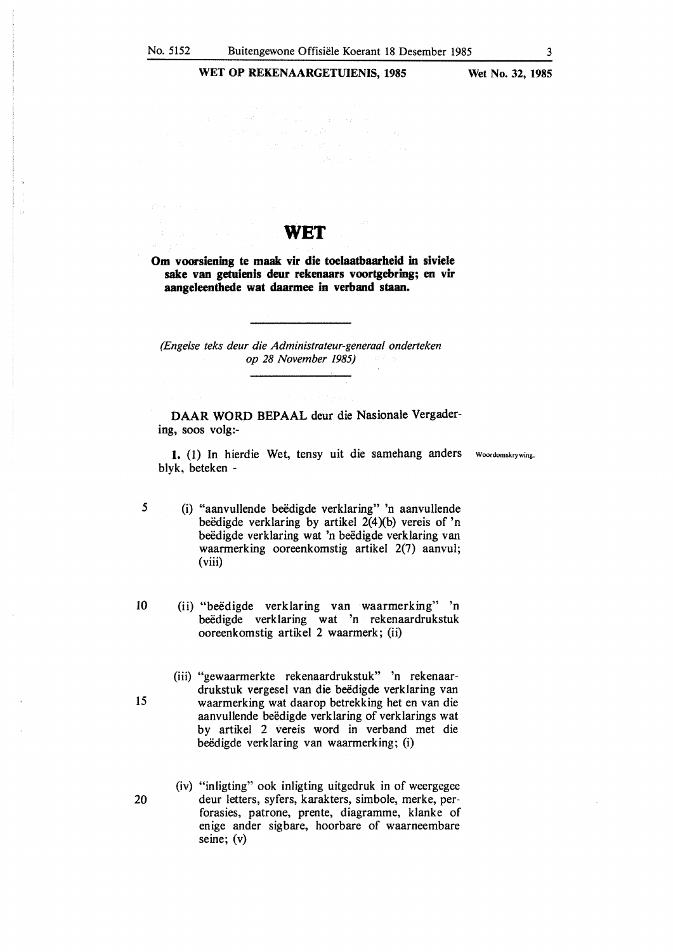WET OP REKENAARGETUIENIS, 1985 Wet No. 32, 1985

# **WET**

**Om voorsiening te maak vir die toelaatbaarheid** in **siviele sake van getuienis deur rekenaars voortgebring; en vir aangeleenthede wat daarmee** in **verband staan.** 

*(Engelse teks deur die Administrateur-generaal onderteken op 28 November 1985)* 

**DAAR WORD BEPAAL** deur die **Nasionale** Vergader**ing, SOOS volg:-**

**1.** (1) In hierdie **Wet,** tensy uit die samehang anders woordomskrywing. blyk, beteken -

- 5 (i) "aanvullende beëdigde verklaring" 'n aanvullende beëdigde verklaring by artikel  $2(4)(b)$  vereis of 'n beëdigde verklaring wat 'n beëdigde verklaring van waarmerking ooreenkomstig artikel 2(7) aanvul; (viii)
- 10 (ii) "beedigde verklaring van waarmerking" 'n beëdigde verklaring wat 'n rekenaardrukstuk ooreenkomstig artikel 2 waarmerk; (ii)
- (iii) "gewaarmerkte rekenaardrukstuk" 'n rekenaardrukstuk vergesel van die beëdigde verklaring van 15 waarmerking wat daarop betrekking het en van die aanvullende beëdigde verklaring of verklarings wat by artikel 2 vereis word in verband met die beëdigde verklaring van waarmerking; (i)
- (iv) "inligting" ook inligting uitgedruk in of weergegee 20 deur letters, syfers, karakters, simbole, merke, perforasies, patrone, prente, diagramme, klanke of enige ander sigbare, hoorbare of waarneembare seine; (v)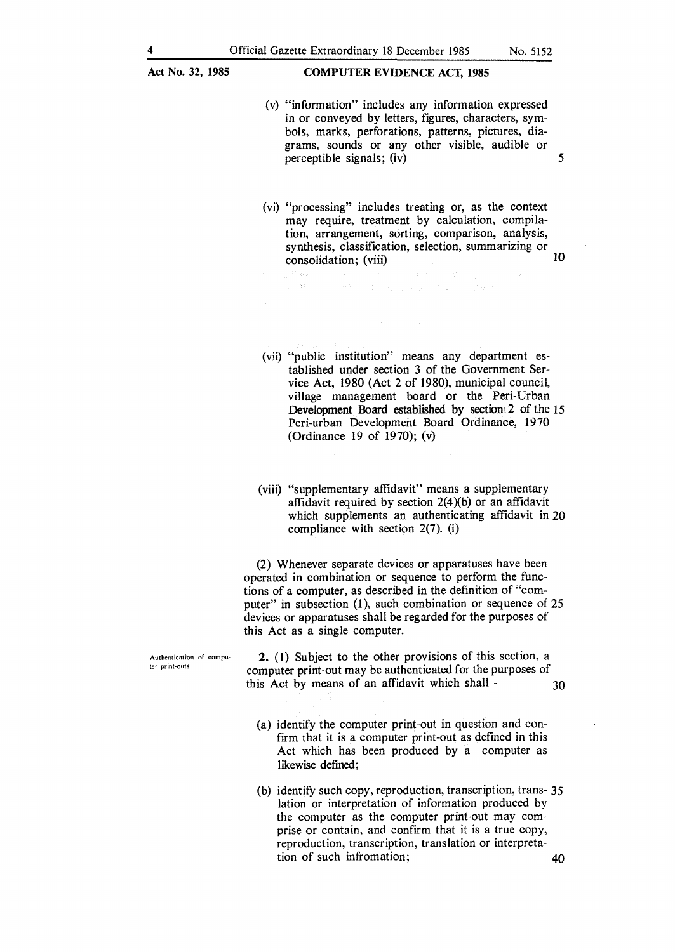#### **COMPUTER EVIDENCE ACT, 1985**

- (v) "information" includes any information expressed in or conveyed by letters, figures, characters, symbols, marks, perforations, patterns, pictures, diagrams, sounds or any other visible, audible or perceptible signals; (iv) *5*
- (vi) "processing" includes treating or, as the context may require, treatment by calculation, compilation, arrangement, sorting, comparison, analysis, synthesis, classification, selection, summarizing or  $\frac{1}{2}$  consolidation; (viii)  $\frac{1}{2}$

(vii) "public institution" means any department established under section 3 of the Government Service Act, 1980 (Act 2 of 1980), municipal council, village management board or the Peri-Urban Development Board established by sectioni 2 of the 15 Peri-urban Development Board Ordinance, 1970 (Ordinance 19 of 1970); (v)

(viii) "supplementary affidavit" means a supplementary affidavit required by section  $2(4)(b)$  or an affidavit which supplements an authenticating affidavit in 20 compliance with section 2(7). (i)

(2) Whenever separate devices or apparatuses have been operated in combination or sequence to perform the functions of a computer, as described in the definition of "computer" in subsection (1), such combination or sequence of 25 devices or apparatuses shall be regarded for the purposes of this Act as a single computer.

Authentication of computer print-outs.

**2.** (1) Subject to the other provisions of this section, a computer print-out may be authenticated for the purposes of this Act by means of an affidavit which shall  $\sim$  30

- (a) identify the computer print-out in question and confirm that it is a computer print-out as defined in this Act which has been produced by a computer as **likewise defined;**
- (b) identify such copy, reproduction, transcription, trans- 35 lation or interpretation of information produced by the computer as the computer print-out may comprise or contain, and confirm that it is a true copy, reproduction, transcription, translation or interpretation of such infromation; **40**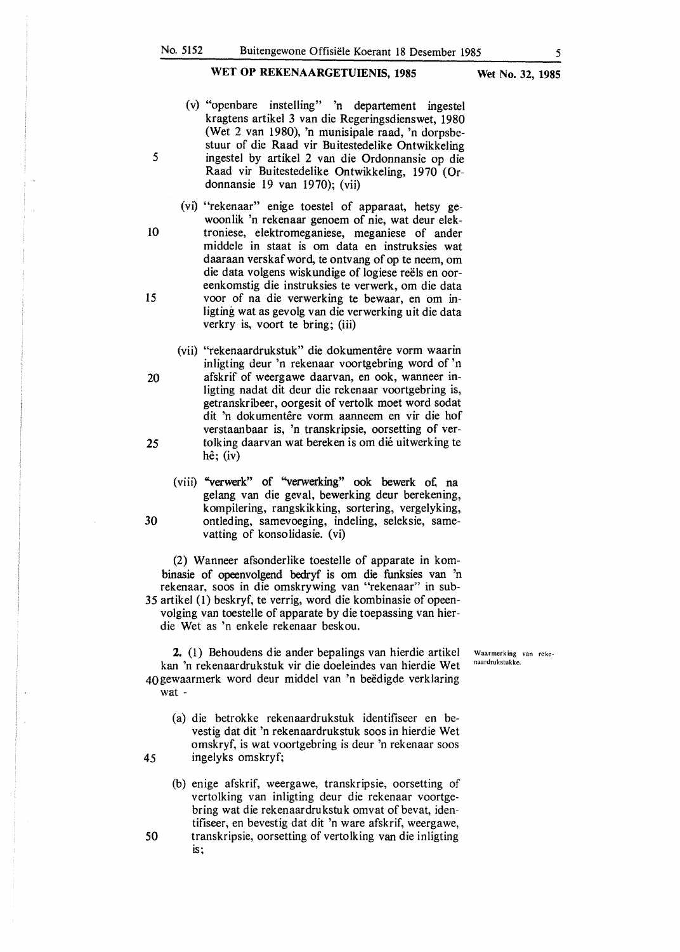- (v) "openbare instelling" 'n departement ingestel kragtens artikel 3 van die Regeringsdienswet, 1980 (Wet 2 van 1980), 'n munisipale raad, 'n dorpsbestuur of die Raad vir Buitestedelike Ontwikkeling 5 ingestel by artikel 2 van die Ordonnansie op die Raad vir Buitestedelike Ontwikkeling, 1970 (Ordonnansie 19 van 1970); (vii)
- (vi) "rekenaar" enige toestel of apparaat, hetsy gewoonlik 'n rekenaar genoem of nie, wat deur elek-10 troniese, elektromeganiese, meganiese of ander middele in staat is om data en instruksies wat daaraan verskaf word, te ontvang of op te neem, om die data volgens wiskundige of logiese reels en ooreenkomstig die instruksies te verwerk, om die data **15** voor of na die verwerking te bewaar, en om inligting wat as gevolg van die verwerking uit die data verkry is, voort te bring; (iii)
- (vii) "rekenaardrukstuk" die dokumentêre vorm waarin inligting deur 'n rekenaar voortgebring word of 'n 20 afskrif of weergawe daarvan, en ook, wanneer inligting nadat dit deur die rekenaar voortgebring is, getranskribeer, oorgesit of vertolk moet word sodat dit 'n dokumentêre vorm aanneem en vir die hof verstaanbaar is, 'n transkripsie, oorsetting of ver-25 tolking daarvan wat bereken is om die uitwerking te he; (iv)
- (viii) "verwerk" of "verwerking" ook bewerk of. na gelang van die geval, bewerking deur berekening, kompilering, rangskikking, sortering, vergelyking, **30** ontleding, samevoeging, indeling, seleksie, samevatting of konsolidasie. (vi)

(2) Wanneer afsonderlike toestelle of apparate in kombinasie of opeenvolgend bedryf is om die funksies van 'n rekenaar, soos in die omskrywing van "rekenaar" in sub-*35* artikel (I) beskryf, te verrig, word die kombinasie of opeenvolging van toestelle of apparate by die toepassing van hierdie Wet as 'n enkele rekenaar beskou.

2. (I) Behoudens die ander bepalings van hierdie artikel kan 'n rekenaardrukstuk vir die doeleindes van hierdie Wet 40 gewaarmerk word deur middel van 'n beedigde verklaring wat -

- (a) die betrokke rekenaardrukstuk identifiseer en bevestig dat dit 'n rekenaardrukstuk soos in hierdie Wet omskryf, is wat voortgebring is deur 'n rekenaar soos **45** ingelyks omskryf;
- (b) enige afskrif, weergawe, transkripsie, oorsetting of vertolking van inligting deur die rekenaar voortgebring wat die rekenaardrukstuk omvat of bevat, identifiseer, en bevestig dat dit 'n ware afskrif, weergawe, 50 transkripsie, oorsetting of vertolking van die inligting

**Waarmerk** ing van reke~ naardrukstukke.

is;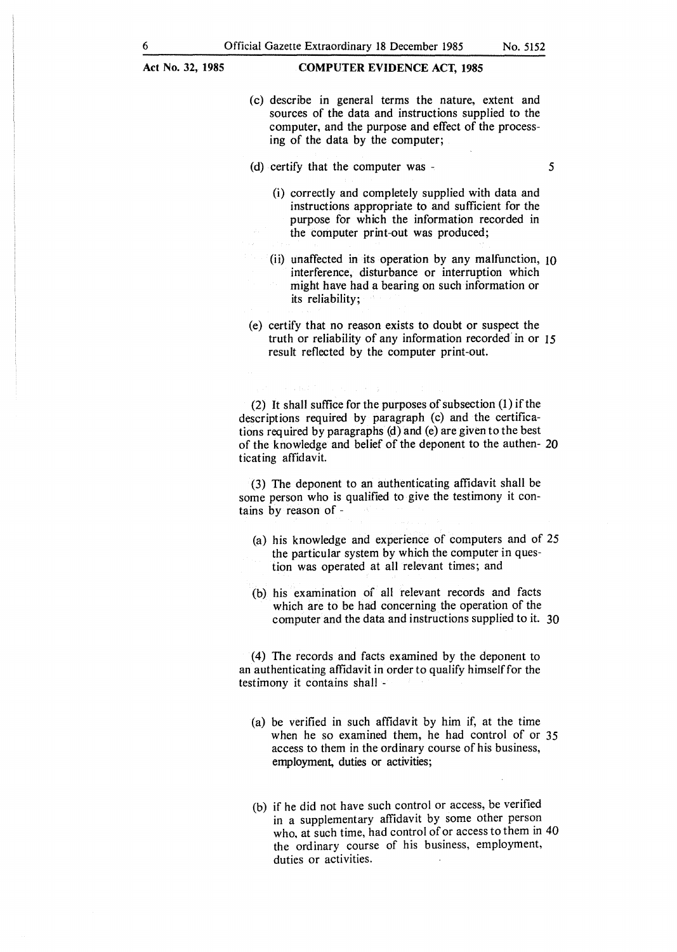- (c) describe in general terms the nature, extent and sources of the data and instructions supplied to the computer, and the purpose and effect of the processing of the data by the computer;
- (d) certify that the computer was
	- (i) correctly and completely supplied with data and instructions appropriate to and sufficient for the purpose for which the information recorded in the computer print-out was produced;
	- (ii) unaffected in its operation by any malfunction, 10 interference, disturbance or interruption which might have had a bearing on such information or its reliability;
- (e) certify that no reason exists to doubt or suspect the truth or reliability of any information recorded' in or 15 result reflected by the computer print-out.

(2) It shall suffice for the purposes of subsection (I) if the descriptions required by paragraph (c) and the certifications required by paragraphs (d) and (e) are given to the best of the knowledge and belief of the deponent to the authen- 20 ticating affidavit.

(3) The deponent to an authenticating affidavit shall be some person who is qualified to give the testimony it contains by reason of -

- (a) his knowledge and experience of computers and of *25*  the particular system by which the computer in question was operated at all relevant times; and
- (b) his examination of all relevant records and facts which are to be had concerning the operation of the computer and the data and instructions supplied to it. 30

(4) The records and facts examined by the deponent to an authenticating affidavit in order to qualify himself for the testimony it contains shall -

- (a) be verified in such affidavit by him if, at the time when he so examined them, he had control of or *35*  access to them in the ordinary course of his business, employment, duties or activities;
- (b) if he did not have such control or access, be verified in a supplementary affidavit by some other person who, at such time, had control of or access to them in 40 the ordinary course of his business, employment, duties or activities.

*5*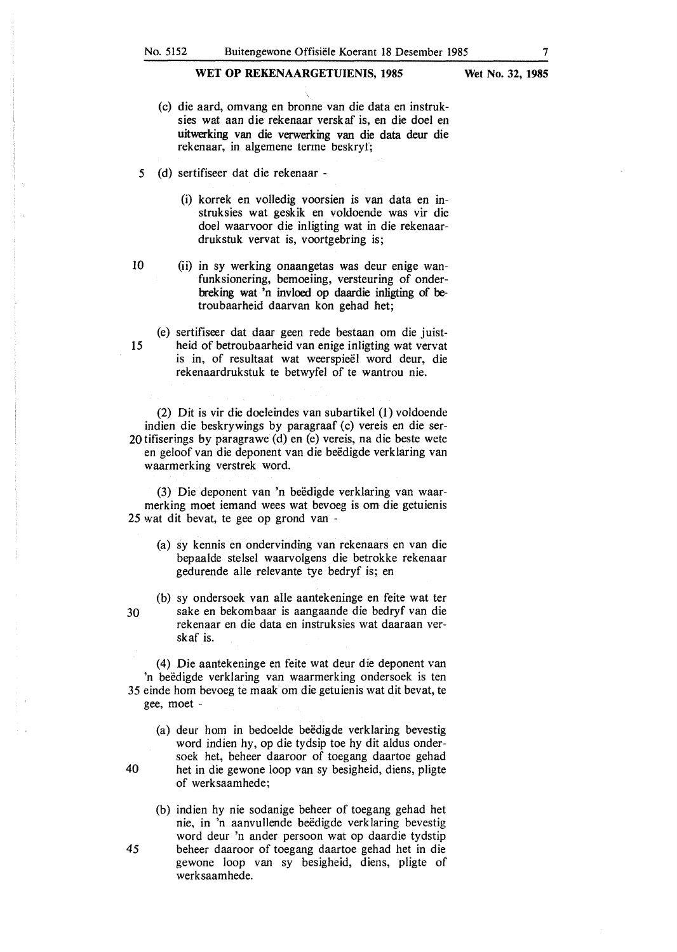- (c) die aard, omvang en bronne van die data en instruksies wat aan die rekenaar verskaf is, en die doel en uitwerking van die verwerking van die data deur die rekenaar, in algemene terme beskryf;
- *5* (d) sertifiseer dat die rekenaar
	- (i) korrek en volledig voorsien is van data en instruksies wat geskik en voldoende was vir die doel waarvoor die inligting wat in die rekenaardrukstuk vervat is, voortgebring is;
- 
- 10 (ii) in sy werking onaangetas was deur enige wanfunksionering, bemoeiing, versteuring of onderbreking wat 'n invloed op daardie inligting of betroubaarheid daarvan kon gehad het;
- (e) sertifiseer dat daar geen rede bestaan om die juist-15 heid of betroubaarheid van enige inligting wat vervat is in, of resultaat wat weerspieel word deur, die rekenaardrukstuk te betwyfel of te wantrou nie.

(2) Dit is vir die doeleindes van subartikel (1) voldoende indien die beskrywings by paragraaf (c) vereis en die ser-20 tifiserings by paragrawe (d) en (e) vereis, na die beste wete en geloof van die deponent van die beëdigde verklaring van waarmerking verstrek word.

(3) Die deponent van 'n beedigde verklaring van waarmerking moet iemand wees wat bevoeg is om die getuienis 25 wat dit bevat, te gee op grond van -

- (a) sy kennis en ondervinding van rekenaars en van die bepaalde stelsel waarvolgens die betrokke rekenaar gedurende alle relevante tye bedryf is; en
- (b) sy ondersoek van alle aantekeninge en feite wat ter 30 sake en bekombaar is aangaande die bedryf van die rekenaar en die data en instruksies wat daaraan verskaf is.

(4) Die aantekeninge en feite wat deur die deponent van 'n beëdigde verklaring van waarmerking ondersoek is ten 35 einde horn bevoeg te maak om die getuienis wat dit bevat, te gee, moet -

- (a) deur hom in bedoelde beëdigde verklaring bevestig word indien hy, op die tydsip toe hy dit aldus ondersoek het, beheer daaroor of toegang daartoe gehad 40 het in die gewone loop van sy besigheid, diens, pligte of werksaamhede;
- (b) indien hy nie sodanige beheer of toegang gehad het nie, in 'n aanvullende beëdigde verklaring bevestig word deur 'n ander persoon wat op daardie tydstip 45 beheer daaroor of toegang daartoe gehad het in die gewone loop van sy besigheid, diens, pligte of werksaamhede.

- 
- 
-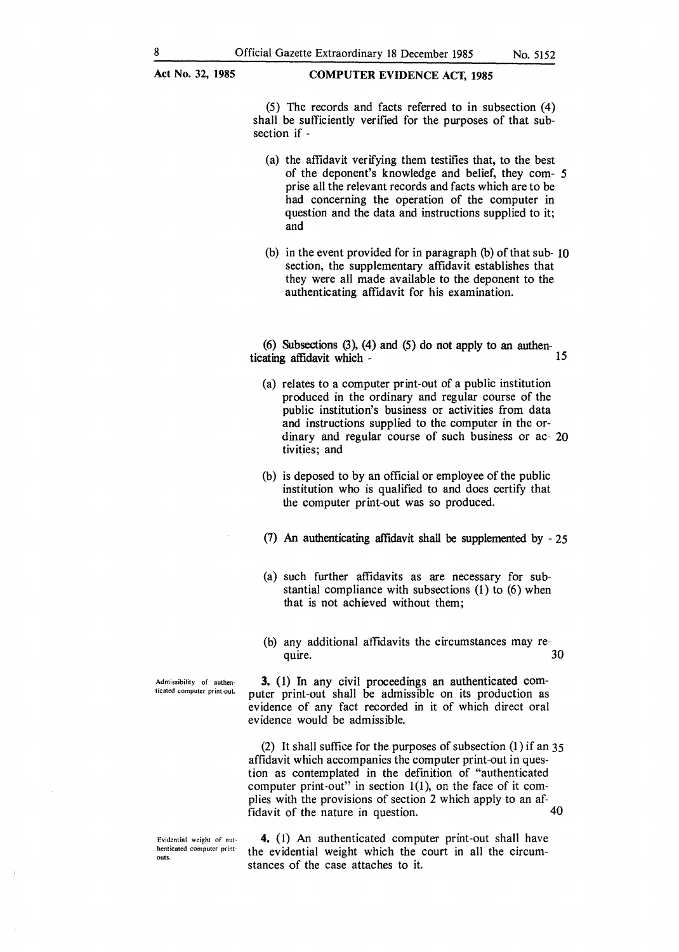**Act No. 32, 1985 COMPUTER EVIDENCE ACT, 1985** 

(5) The records and facts referred to in subsection (4) shall be sufficiently verified for the purposes of that subsection if -

- (a) the affidavit verifying them testifies that, to the best of the deponent's knowledge and belief, they com- 5 prise all the relevant records and facts which are to be had concerning the operation of the computer in question and the data and instructions supplied to it; and
- (b) in the event provided for in paragraph (b) of that sub- 10 section, the supplementary affidavit establishes that they were all made available to the deponent to the authenticating affidavit for his examination.

(6) Subsections (3), (4) and (5) do not apply to an authenticating affidavit which - 15

- (a) relates to a computer print-out of a public institution produced in the ordinary and regular course of the public institution's business or activities from data and instructions supplied to the computer in the ordinary and regular course of such business or ac- 20 tivities; and
- (b) is deposed to by an official or employee of the public institution who is qualified to and does certify that the computer print-out was so produced.
- (7) An authenticating affidavit shall be supplemented by 25
- (a) such further affidavits as are necessary for substantial compliance with subsections (1) to (6) when that is not achieved without them;
- (b) any additional affidavits the circumstances may re quire.  $30$

Admissibility of authen-<br>
ticated computer print-out. puter print-out shall be admissible on its production as evidence of any fact recorded in it of which direct oral evidence would be admissible.

> (2) It shall suffice for the purposes of subsection (1) if an 35 affidavit which accompanies the computer print-out in question as contemplated in the definition of "authenticated computer print-out" in section  $1(1)$ , on the face of it complies with the provisions of section 2 which apply to an affidavit of the nature in question. 40

Evidential weight of authenticated computer printouts.

**4.** (1) An authenticated computer print-out shall have the evidential weight which the court in all the circumstances of the case attaches to it.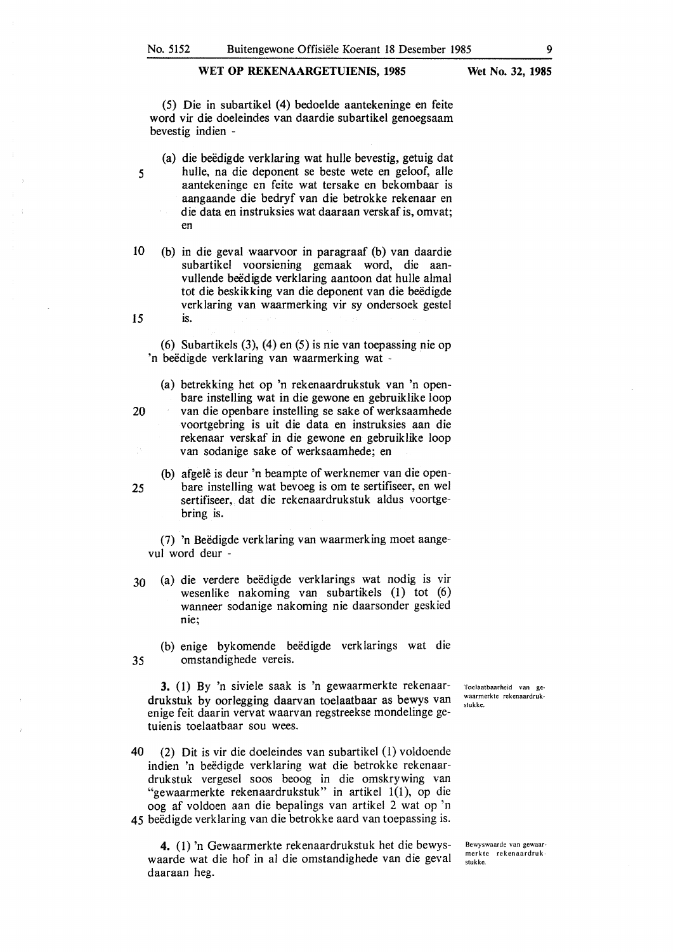**Wet No. 32, 1985** 

(5) Die in subartikel (4) bedoelde aantekeninge en feite word vir die doeleindes van daardie subartikel genoegsaam bevestig indien -

- (a) die beedigde verklaring wat hulle bevestig, getuig dat *5* hulle, na die deponent se beste wete en geloof, alle aantekeninge en feite wat tersake en bekombaar is aangaande die bedryf van die betrokke rekenaar en die data en instruksies wat daaraan verskaf is, omvat; en
- 10 (b) in die geval waarvoor in paragraaf (b) van daardie subartikel voorsiening gemaak word, die aanvullende beëdigde verklaring aantoon dat hulle almal tot die beskikking van die deponent van die beëdigde verklaring van waarmerking vir sy ondersoek gestel **15** is.

(6) Subartikels (3), (4) en (5) is nie van toepassing nie op 'n beëdigde verklaring van waarmerking wat -

(a) betrekking het op 'n rekenaardrukstuk van 'n openbare instelling wat in die gewone en gebruiklike loop 20 van die openbare instelling se sake of werksaamhede voortgebring is uit die data en instruksies aan die rekenaar verskaf in die gewone en gebruiklike loop

van sodanige sake of werksaamhede; en (b) afgelê is deur 'n beampte of werknemer van die open-

*25* bare instelling wat bevoeg is om te sertifiseer, en wel sertifiseer, dat die rekenaardrukstuk aldus voortgebring is.

(7) 'n Beedigde verklaring van waarmerking moet aangevul word deur -

30 (a) die verdere beedigde verklarings wat nodig is vir wesenlike nakoming van subartikels (1) tot (6) wanneer sodanige nakoming nie daarsonder geskied nie;

(b) enige bykomende beedigde verklarings wat die *35* omstandighede vereis.

**3.** (1) By 'n siviele saak is 'n gewaarmerkte rekenaardrukstuk by oorlegging daarvan toelaatbaar as bewys van enige feit daarin vervat waarvan regstreekse mondelinge getuienis toelaatbaar sou wees.

**40** (2) Dit is vir die doeleindes van subartikel (1) voldoende indien 'n beedigde verklaring wat die betrokke rekenaardrukstuk vergesel soos beoog in die omskrywing van "gewaarmerkte rekenaardrukstuk" in artikel 1(1), op die oog af voldoen aan die bepalings van artikel 2 wat op 'n 45 beëdigde verklaring van die betrokke aard van toepassing is.

**4.** ( 1) 'n Gewaarmerkte rekenaardrukstuk het die bewyswaarde wat die hof in al die omstandighede van die geval daaraan heg.

Toelaatbaarheid van gewaarmerkte rekenaardrukstukke.

Bewyswaarde van gewaarmerk te rekenaardrukstukke.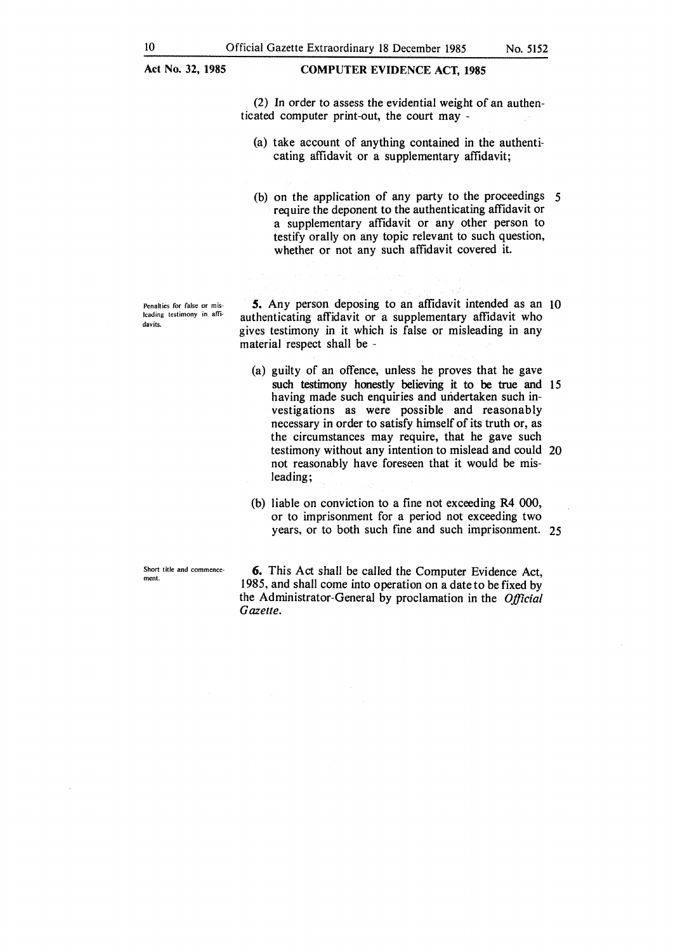### **COMPUTER EVIDENCE ACT, 1985**

(2) In order to assess the evidential weight of an authenticated computer print-out, the court may -

(a) take account of anything contained in the authenticating affidavit or a supplementary affidavit;

(b) on the application of any party to the proceedings 5 require the deponent to the authenticating affidavit or a supplementary affidavit or any other person to testify orally on any topic relevant to such question, whether or not any such affidavit covered it.

Penalties for false or misleading testimony in affidavits.

*S.* Any person deposing to an affidavit intended as an IO authenticating affidavit or a supplementary affidavit who gives testimony in it which is false or misleading in any material respect shall be -

- (a) guilty of an offence, unless he proves that he gave such testimony honestly believing it to be true and 15 having made such enquiries and undertaken such investigations as were possible and reasonably necessary in order to satisfy himself of its truth or, as the circumstances may require, that he gave such testimony without any intention to mislead and could 20 not reasonably have foreseen that it would be misleading;
- (b) liable on conviction to a fine not exceeding R4 000, or to imprisonment for a period not exceeding two years, or to both such fine and such imprisonment. 25

Short title and commencement.

**6.** This Act shall be called the Computer Evidence Act, 1985, and shall come into operation on a date to be fixed by the Administrator-General by proclamation in the *Official Gazette.*